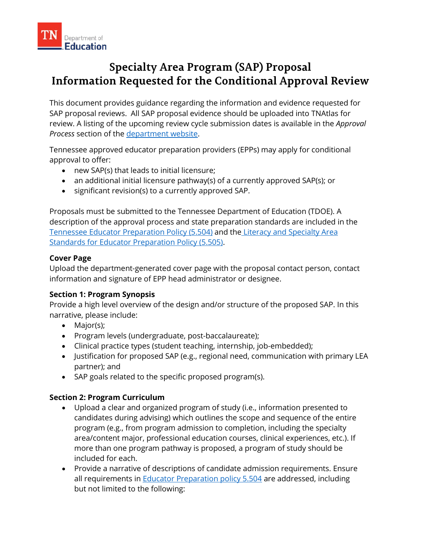

# **Specialty Area Program (SAP) Proposal Information Requested for the Conditional Approval Review**

 This document provides guidance regarding the information and evidence requested for SAP proposal reviews. All SAP proposal evidence should be uploaded into TNAtlas for Process section of the department website. review. A listing of the upcoming review cycle submission dates is available in the *Approval* 

*Process* section of the <u>department website</u>.<br>Tennessee approved educator preparation providers (EPPs) may apply for conditional approval to offer:

- new SAP(s) that leads to initial licensure;
- an additional initial licensure pathway(s) of a currently approved SAP(s); or
- significant revision(s) to a currently approved SAP.

 Proposals must be submitted to the Tennessee Department of Education (TDOE). A [Standards for Educator Preparation Policy \(5.505\).](https://www.tn.gov/sbe/rules--policies-and-guidance/policies.html) description of the approval process and state preparation standards are included in the [Tennessee Educator Preparation Policy \(5.504\)](https://www.tn.gov/sbe/rules--policies-and-guidance/policies.html) and th[e Literacy and Specialty Area](https://www.tn.gov/sbe/rules--policies-and-guidance/policies.html) 

## **Cover Page**

Upload the department-generated cover page with the proposal contact person, contact information and signature of EPP head administrator or designee.

## **Section 1: Program Synopsis**

 Provide a high level overview of the design and/or structure of the proposed SAP. In this narrative, please include:

- Major(s);
- Program levels (undergraduate, post-baccalaureate);
- Clinical practice types (student teaching, internship, job-embedded);
- Justification for proposed SAP (e.g., regional need, communication with primary LEA partner); and
- SAP goals related to the specific proposed program(s).

## **Section 2: Program Curriculum**

- candidates during advising) which outlines the scope and sequence of the entire program (e.g., from program admission to completion, including the specialty • Upload a clear and organized program of study (i.e., information presented to area/content major, professional education courses, clinical experiences, etc.). If more than one program pathway is proposed, a program of study should be included for each.
- Provide a narrative of descriptions of candidate admission requirements. Ensure all requirements in **Educator Preparation policy 5.504** are addressed, including but not limited to the following: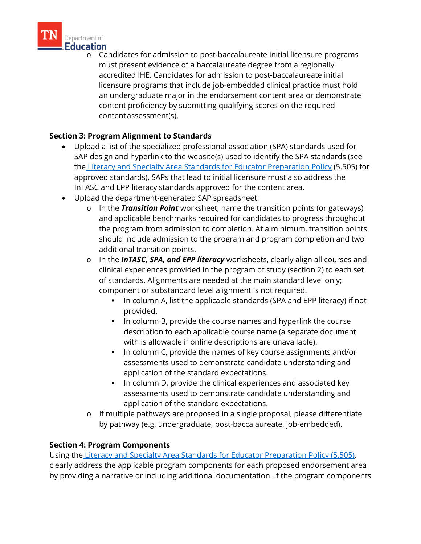

 licensure programs that include job-embedded clinical practice must hold content proficiency by submitting qualifying scores on the required Department of<br>**1111. Education**<br>1111. Candidates for admission to post-baccalaureate initial licensure programs must present evidence of a baccalaureate degree from a regionally accredited IHE. Candidates for admission to post-baccalaureate initial an undergraduate major in the endorsement content area or demonstrate content assessment(s).

## **Section 3: Program Alignment to Standards**

- • Upload a list of the specialized professional association (SPA) standards used for SAP design and hyperlink to the website(s) used to identify the SPA standards (see th[e Literacy and Specialty Area Standards for Educator Preparation Policy](https://www.tn.gov/sbe/rules--policies-and-guidance/policies.html) (5.505) for approved standards). SAPs that lead to initial licensure must also address the InTASC and EPP literacy standards approved for the content area.
- • Upload the department-generated SAP spreadsheet:
	- the program from admission to completion. At a minimum, transition points o In the *Transition Point* worksheet, name the transition points (or gateways) and applicable benchmarks required for candidates to progress throughout should include admission to the program and program completion and two additional transition points.
	- o ln the *InTASC, SPA, and EPP literacy* worksheets, clearly align all courses and clinical experiences provided in the program of study (section 2) to each set of standards. Alignments are needed at the main standard level only; component or substandard level alignment is not required.
		- In column A, list the applicable standards (SPA and EPP literacy) if not provided.
		- In column B, provide the course names and hyperlink the course description to each applicable course name (a separate document with is allowable if online descriptions are unavailable).
		- In column C, provide the names of key course assignments and/or assessments used to demonstrate candidate understanding and application of the standard expectations.
		- **IF In column D, provide the clinical experiences and associated key** assessments used to demonstrate candidate understanding and application of the standard expectations.
	- o If multiple pathways are proposed in a single proposal, please differentiate by pathway (e.g. undergraduate, post-baccalaureate, job-embedded).

## **Section 4: Program Components**

Using th[e Literacy and Specialty Area Standards for Educator Preparation Policy \(5.505\),](https://www.tn.gov/sbe/rules--policies-and-guidance/policies.html) clearly address the applicable program components for each proposed endorsement area by providing a narrative or including additional documentation. If the program components